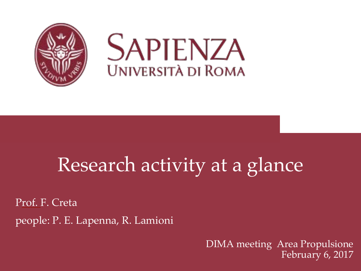

## Research activity at a glance

Prof. F. Creta people: P. E. Lapenna, R. Lamioni

> DIMA meeting Area Propulsione February 6, 2017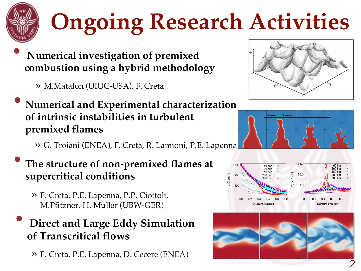

- **Numerical investigation of premixed combustion using a hybrid methodology** 
	- » M.Matalon (UIUC-USA), F. Creta
- **Numerical and Experimental characterization of intrinsic instabilities in turbulent premixed flames** 
	- » G. Troiani (ENEA), F. Creta, R. Lamioni, P.E. Lapenna
- **The structure of non-premixed flames at supercritical conditions**
	- » F. Creta, P.E. Lapenna, P.P. Ciottoli, M.Pfitzner, H. Muller (UBW-GER)
- **Direct and Large Eddy Simulation of Transcritical flows** 
	- » F. Creta, P.E. Lapenna, D. Cecere (ENEA)







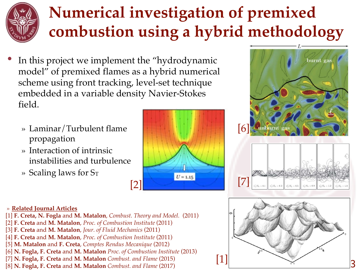### **Numerical investigation of premixed combustion using a hybrid methodology**

- In this project we implement the "hydrodynamic" model" of premixed flames as a hybrid numerical scheme using front tracking, level-set technique embedded in a variable density Navier-Stokes field.
	- » Laminar/Turbulent flame propagation
	- » Interaction of intrinsic instabilities and turbulence
	- » Scaling laws for ST







#### » **Related Journal Articles**

- [1] **F. Creta, N. Fogla** and **M. Matalon**, *Combust. Theory and Model.* (2011)
- [2] **F. Creta** and **M. Matalon**, *Proc. of Combustion Institute* (2011)
- [3] **F. Creta** and **M. Matalon**, *Jour. of Fluid Mechanics* (2011)
- [4] **F. Creta** and **M. Matalon**, *Proc. of Combustion Institute* (2011)
- [5] **M. Matalon** and **F. Creta**, *Comptes Rendus Mecanique* (2012)
- [6] **N. Fogla, F. Creta** and **M. Matalon** *Proc. of Combustion Institute* (2013)
- [7] **N. Fogla, F. Creta** and **M. Matalon** *Combust. and Flame* (2015)
- [8] **N. Fogla, F. Creta** and **M. Matalon** *Combust. and Flame* (2017)

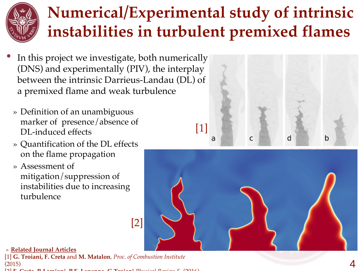### **Numerical/Experimental study of intrinsic instabilities in turbulent premixed flames**

- In this project we investigate, both numerically (DNS) and experimentally (PIV), the interplay between the intrinsic Darrieus-Landau (DL) of a premixed flame and weak turbulence
- » Definition of an unambiguous marker of presence/absence of DL-induced effects
- » Quantification of the DL effects on the flame propagation
- » Assessment of mitigation/suppression of instabilities due to increasing turbulence





» **Related Journal Articles**

[1] **G. Troiani, F. Creta** and **M. Matalon**, *Proc. of Combustion Institute*  (2015)

[2] **F. Creta, R.Lamioni, P.E. Lapenna, G.Troiani** *Physical Review E* (2016)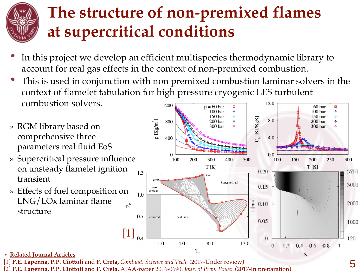

#### **The structure of non-premixed flames at supercritical conditions**

- In this project we develop an efficient multispecies thermodynamic library to account for real gas effects in the context of non-premixed combustion.
- This is used in conjunction with non premixed combustion laminar solvers in the context of flamelet tabulation for high pressure cryogenic LES turbulent combustion solvers. 12.0 1200  $\Box$
- » RGM library based on comprehensive three parameters real fluid EoS
- » Supercritical pressure influence on unsteady flamelet ignition transient
- » Effects of fuel composition on LNG/LOx laminar flame structure



5

» **Related Journal Articles**

[1] **P.E. Lapenna, P.P. Ciottoli** and **F. Creta,** *Combust. Science and Teeh.* (2017-Under review)

[2] **P.E. Lapenna, P.P. Ciottoli** and **F. Creta,** AIAA-paper 2016-0690, *Jour. of Prop. Power* (2017-In preparation)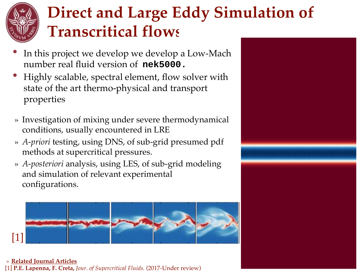### **Direct and Large Eddy Simulation of Transcritical flows**

- In this project we develop we develop a Low-Mach number real fluid version of **nek5000.**
- Highly scalable, spectral element, flow solver with state of the art thermo-physical and transport properties
- » Investigation of mixing under severe thermodynamical conditions, usually encountered in LRE
- » *A-priori* testing, using DNS, of sub-grid presumed pdf methods at supercritical pressures.
- » *A-posteriori* analysis, using LES, of sub-grid modeling and simulation of relevant experimental configurations.

[1]

#### » **Related Journal Articles** [1] **P.E. Lapenna, F. Creta,** *Jour. of Supercritical Fluids.* (2017-Under review)